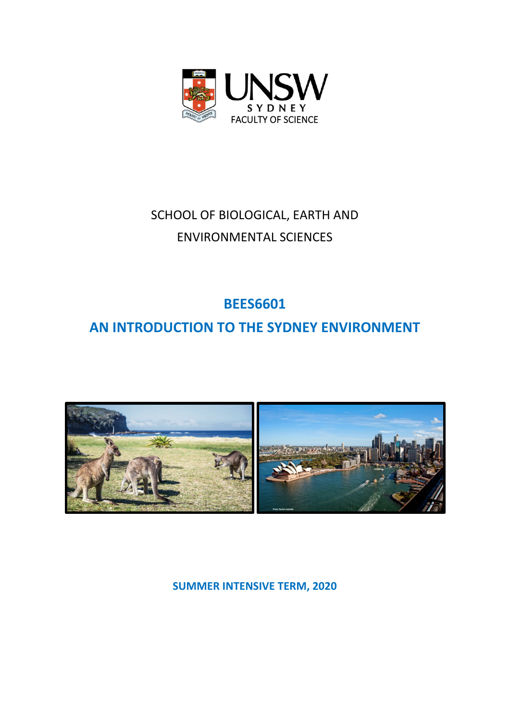

# SCHOOL OF BIOLOGICAL, EARTH AND ENVIRONMENTAL SCIENCES

## **BEES6601**

# **AN INTRODUCTION TO THE SYDNEY ENVIRONMENT**



**SUMMER INTENSIVE TERM, 2020**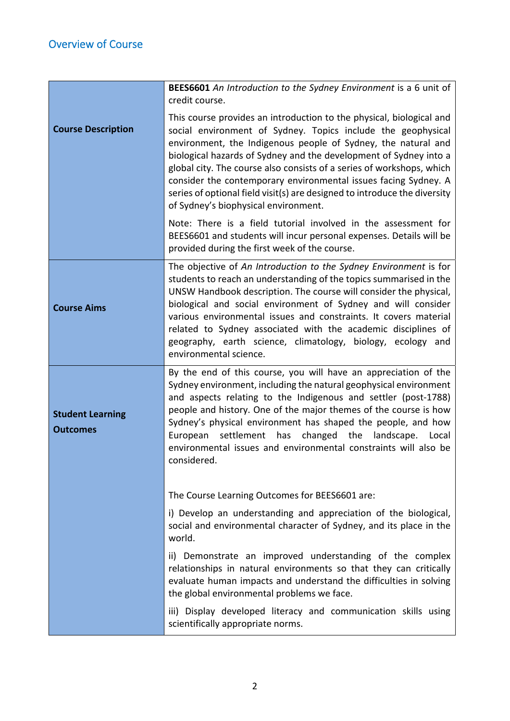|                                            | BEES6601 An Introduction to the Sydney Environment is a 6 unit of<br>credit course.                                                                                                                                                                                                                                                                                                                                                                                                                                                         |  |  |
|--------------------------------------------|---------------------------------------------------------------------------------------------------------------------------------------------------------------------------------------------------------------------------------------------------------------------------------------------------------------------------------------------------------------------------------------------------------------------------------------------------------------------------------------------------------------------------------------------|--|--|
| <b>Course Description</b>                  | This course provides an introduction to the physical, biological and<br>social environment of Sydney. Topics include the geophysical<br>environment, the Indigenous people of Sydney, the natural and<br>biological hazards of Sydney and the development of Sydney into a<br>global city. The course also consists of a series of workshops, which<br>consider the contemporary environmental issues facing Sydney. A<br>series of optional field visit(s) are designed to introduce the diversity<br>of Sydney's biophysical environment. |  |  |
|                                            | Note: There is a field tutorial involved in the assessment for<br>BEES6601 and students will incur personal expenses. Details will be<br>provided during the first week of the course.                                                                                                                                                                                                                                                                                                                                                      |  |  |
| <b>Course Aims</b>                         | The objective of An Introduction to the Sydney Environment is for<br>students to reach an understanding of the topics summarised in the<br>UNSW Handbook description. The course will consider the physical,<br>biological and social environment of Sydney and will consider<br>various environmental issues and constraints. It covers material<br>related to Sydney associated with the academic disciplines of<br>geography, earth science, climatology, biology, ecology and<br>environmental science.                                 |  |  |
| <b>Student Learning</b><br><b>Outcomes</b> | By the end of this course, you will have an appreciation of the<br>Sydney environment, including the natural geophysical environment<br>and aspects relating to the Indigenous and settler (post-1788)<br>people and history. One of the major themes of the course is how<br>Sydney's physical environment has shaped the people, and how<br>settlement has changed the<br>landscape. Local<br>European<br>environmental issues and environmental constraints will also be<br>considered.                                                  |  |  |
|                                            | The Course Learning Outcomes for BEES6601 are:                                                                                                                                                                                                                                                                                                                                                                                                                                                                                              |  |  |
|                                            | i) Develop an understanding and appreciation of the biological,<br>social and environmental character of Sydney, and its place in the<br>world.                                                                                                                                                                                                                                                                                                                                                                                             |  |  |
|                                            | ii) Demonstrate an improved understanding of the complex<br>relationships in natural environments so that they can critically<br>evaluate human impacts and understand the difficulties in solving<br>the global environmental problems we face.                                                                                                                                                                                                                                                                                            |  |  |
|                                            | iii) Display developed literacy and communication skills using<br>scientifically appropriate norms.                                                                                                                                                                                                                                                                                                                                                                                                                                         |  |  |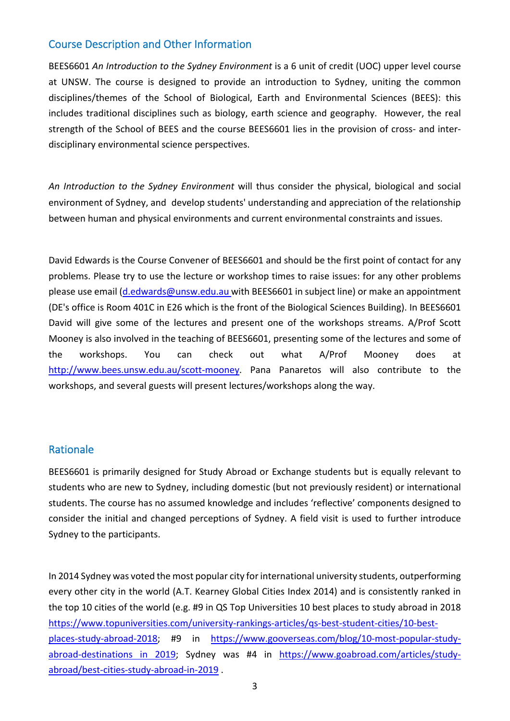### Course Description and Other Information

BEES6601 *An Introduction to the Sydney Environment* is a 6 unit of credit (UOC) upper level course at UNSW. The course is designed to provide an introduction to Sydney, uniting the common disciplines/themes of the School of Biological, Earth and Environmental Sciences (BEES): this includes traditional disciplines such as biology, earth science and geography. However, the real strength of the School of BEES and the course BEES6601 lies in the provision of cross- and interdisciplinary environmental science perspectives.

*An Introduction to the Sydney Environment* will thus consider the physical, biological and social environment of Sydney, and develop students' understanding and appreciation of the relationship between human and physical environments and current environmental constraints and issues.

David Edwards is the Course Convener of BEES6601 and should be the first point of contact for any problems. Please try to use the lecture or workshop times to raise issues: for any other problems please use email (d.edwards@unsw.edu.au with BEES6601 in subject line) or make an appointment (DE's office is Room 401C in E26 which is the front of the Biological Sciences Building). In BEES6601 David will give some of the lectures and present one of the workshops streams. A/Prof Scott Mooney is also involved in the teaching of BEES6601, presenting some of the lectures and some of the workshops. You can check out what A/Prof Mooney does at http://www.bees.unsw.edu.au/scott-mooney. Pana Panaretos will also contribute to the workshops, and several guests will present lectures/workshops along the way.

### **Rationale**

BEES6601 is primarily designed for Study Abroad or Exchange students but is equally relevant to students who are new to Sydney, including domestic (but not previously resident) or international students. The course has no assumed knowledge and includes 'reflective' components designed to consider the initial and changed perceptions of Sydney. A field visit is used to further introduce Sydney to the participants.

In 2014 Sydney was voted the most popular city for international university students, outperforming every other city in the world (A.T. Kearney Global Cities Index 2014) and is consistently ranked in the top 10 cities of the world (e.g. #9 in QS Top Universities 10 best places to study abroad in 2018 https://www.topuniversities.com/university-rankings-articles/qs-best-student-cities/10-bestplaces-study-abroad-2018; #9 in https://www.gooverseas.com/blog/10-most-popular-studyabroad-destinations in 2019; Sydney was #4 in https://www.goabroad.com/articles/studyabroad/best‐cities‐study‐abroad‐in‐2019 .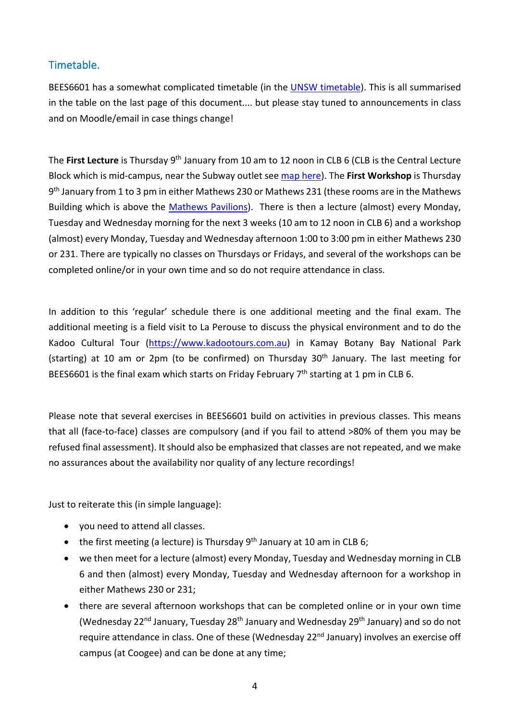## Timetable.

BEES6601 has a somewhat complicated timetable (in the **UNSW** timetable). This is all summarised in the table on the last page of this document.... but please stay tuned to announcements in class and on Moodle/email in case things change!

The **First Lecture** is Thursday 9th January from 10 am to 12 noon in CLB 6 (CLB is the Central Lecture Block which is mid‐campus, near the Subway outlet see map here). The **First Workshop** is Thursday 9<sup>th</sup> January from 1 to 3 pm in either Mathews 230 or Mathews 231 (these rooms are in the Mathews Building which is above the Mathews Pavilions). There is then a lecture (almost) every Monday, Tuesday and Wednesday morning for the next 3 weeks (10 am to 12 noon in CLB 6) and a workshop (almost) every Monday, Tuesday and Wednesday afternoon 1:00 to 3:00 pm in either Mathews 230 or 231. There are typically no classes on Thursdays or Fridays, and several of the workshops can be completed online/or in your own time and so do not require attendance in class.

In addition to this 'regular' schedule there is one additional meeting and the final exam. The additional meeting is a field visit to La Perouse to discuss the physical environment and to do the Kadoo Cultural Tour (https://www.kadootours.com.au) in Kamay Botany Bay National Park (starting) at 10 am or 2pm (to be confirmed) on Thursday 30<sup>th</sup> January. The last meeting for BEES6601 is the final exam which starts on Friday February  $7<sup>th</sup>$  starting at 1 pm in CLB 6.

Please note that several exercises in BEES6601 build on activities in previous classes. This means that all (face-to-face) classes are compulsory (and if you fail to attend >80% of them you may be refused final assessment). It should also be emphasized that classes are not repeated, and we make no assurances about the availability nor quality of any lecture recordings!

Just to reiterate this (in simple language):

- vou need to attend all classes.
- $\bullet$  the first meeting (a lecture) is Thursday 9<sup>th</sup> January at 10 am in CLB 6;
- we then meet for a lecture (almost) every Monday, Tuesday and Wednesday morning in CLB 6 and then (almost) every Monday, Tuesday and Wednesday afternoon for a workshop in either Mathews 230 or 231;
- there are several afternoon workshops that can be completed online or in your own time (Wednesday 22<sup>nd</sup> January, Tuesday 28<sup>th</sup> January and Wednesday 29<sup>th</sup> January) and so do not require attendance in class. One of these (Wednesday 22<sup>nd</sup> January) involves an exercise off campus (at Coogee) and can be done at any time;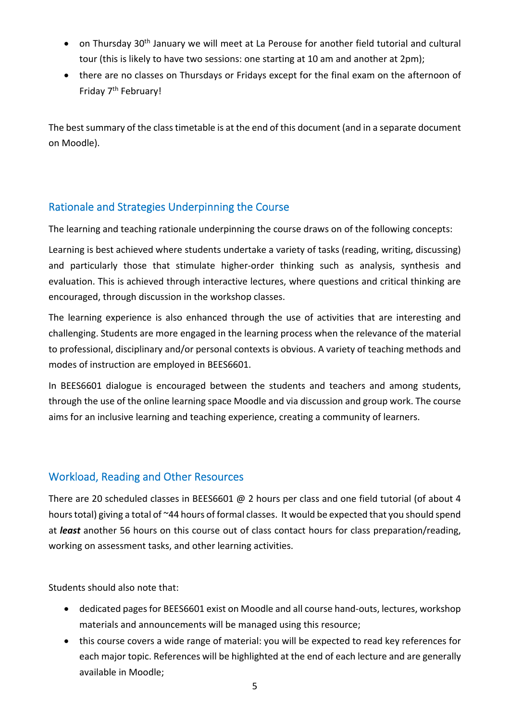- on Thursday 30<sup>th</sup> January we will meet at La Perouse for another field tutorial and cultural tour (this is likely to have two sessions: one starting at 10 am and another at 2pm);
- there are no classes on Thursdays or Fridays except for the final exam on the afternoon of Friday 7<sup>th</sup> February!

The best summary of the class timetable is at the end of this document (and in a separate document on Moodle).

## Rationale and Strategies Underpinning the Course

The learning and teaching rationale underpinning the course draws on of the following concepts:

Learning is best achieved where students undertake a variety of tasks (reading, writing, discussing) and particularly those that stimulate higher‐order thinking such as analysis, synthesis and evaluation. This is achieved through interactive lectures, where questions and critical thinking are encouraged, through discussion in the workshop classes.

The learning experience is also enhanced through the use of activities that are interesting and challenging. Students are more engaged in the learning process when the relevance of the material to professional, disciplinary and/or personal contexts is obvious. A variety of teaching methods and modes of instruction are employed in BEES6601.

In BEES6601 dialogue is encouraged between the students and teachers and among students, through the use of the online learning space Moodle and via discussion and group work. The course aims for an inclusive learning and teaching experience, creating a community of learners.

## Workload, Reading and Other Resources

There are 20 scheduled classes in BEES6601 @ 2 hours per class and one field tutorial (of about 4 hours total) giving a total of ~44 hours of formal classes. It would be expected that you should spend at *least* another 56 hours on this course out of class contact hours for class preparation/reading, working on assessment tasks, and other learning activities.

Students should also note that:

- dedicated pages for BEES6601 exist on Moodle and all course hand-outs, lectures, workshop materials and announcements will be managed using this resource;
- this course covers a wide range of material: you will be expected to read key references for each major topic. References will be highlighted at the end of each lecture and are generally available in Moodle;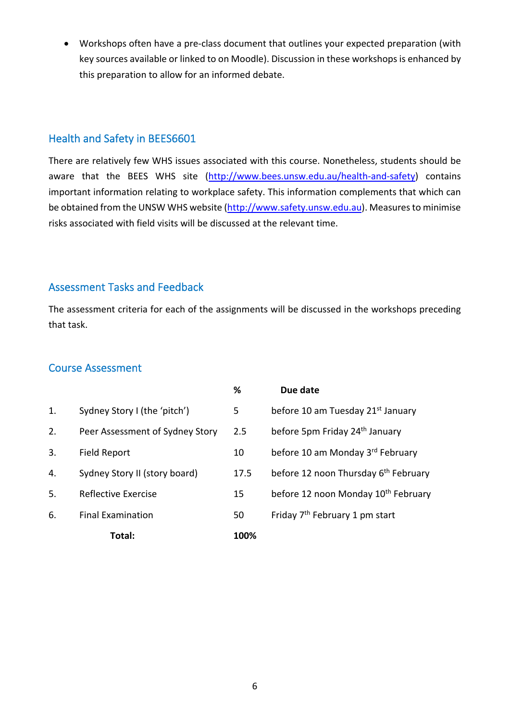Workshops often have a pre‐class document that outlines your expected preparation (with key sources available or linked to on Moodle). Discussion in these workshops is enhanced by this preparation to allow for an informed debate.

## Health and Safety in BEES6601

There are relatively few WHS issues associated with this course. Nonetheless, students should be aware that the BEES WHS site (http://www.bees.unsw.edu.au/health-and-safety) contains important information relating to workplace safety. This information complements that which can be obtained from the UNSW WHS website (http://www.safety.unsw.edu.au). Measuresto minimise risks associated with field visits will be discussed at the relevant time.

## Assessment Tasks and Feedback

The assessment criteria for each of the assignments will be discussed in the workshops preceding that task.

### Course Assessment

|    |                                 | %    | Due date                                         |
|----|---------------------------------|------|--------------------------------------------------|
| 1. | Sydney Story I (the 'pitch')    | 5    | before 10 am Tuesday 21 <sup>st</sup> January    |
| 2. | Peer Assessment of Sydney Story | 2.5  | before 5pm Friday 24 <sup>th</sup> January       |
| 3. | <b>Field Report</b>             | 10   | before 10 am Monday 3rd February                 |
| 4. | Sydney Story II (story board)   | 17.5 | before 12 noon Thursday 6 <sup>th</sup> February |
| 5. | Reflective Exercise             | 15   | before 12 noon Monday 10 <sup>th</sup> February  |
| 6. | <b>Final Examination</b>        | 50   | Friday 7 <sup>th</sup> February 1 pm start       |
|    | Total:                          | 100% |                                                  |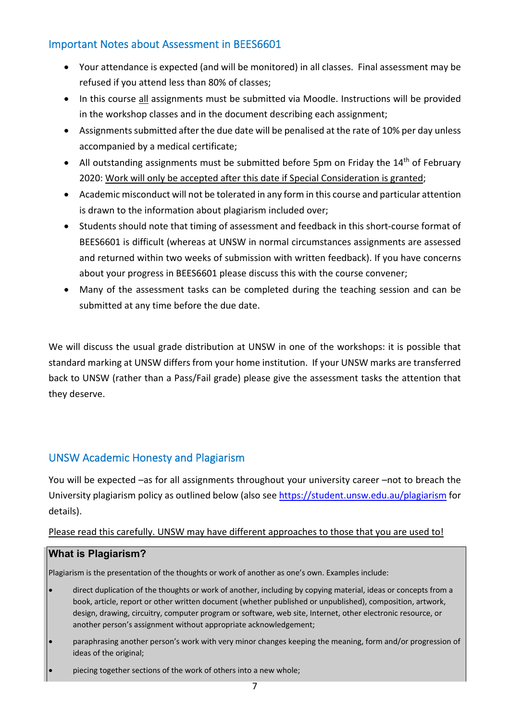## Important Notes about Assessment in BEES6601

- Your attendance is expected (and will be monitored) in all classes. Final assessment may be refused if you attend less than 80% of classes;
- In this course all assignments must be submitted via Moodle. Instructions will be provided in the workshop classes and in the document describing each assignment;
- Assignments submitted after the due date will be penalised at the rate of 10% per day unless accompanied by a medical certificate;
- All outstanding assignments must be submitted before 5pm on Friday the  $14<sup>th</sup>$  of February 2020: Work will only be accepted after this date if Special Consideration is granted;
- Academic misconduct will not be tolerated in any form in this course and particular attention is drawn to the information about plagiarism included over;
- Students should note that timing of assessment and feedback in this short‐course format of BEES6601 is difficult (whereas at UNSW in normal circumstances assignments are assessed and returned within two weeks of submission with written feedback). If you have concerns about your progress in BEES6601 please discuss this with the course convener;
- Many of the assessment tasks can be completed during the teaching session and can be submitted at any time before the due date.

We will discuss the usual grade distribution at UNSW in one of the workshops: it is possible that standard marking at UNSW differs from your home institution. If your UNSW marks are transferred back to UNSW (rather than a Pass/Fail grade) please give the assessment tasks the attention that they deserve.

## UNSW Academic Honesty and Plagiarism

You will be expected –as for all assignments throughout your university career –not to breach the University plagiarism policy as outlined below (also see https://student.unsw.edu.au/plagiarism for details).

#### Please read this carefully. UNSW may have different approaches to those that you are used to!

#### **What is Plagiarism?**

Plagiarism is the presentation of the thoughts or work of another as one's own. Examples include:

- direct duplication of the thoughts or work of another, including by copying material, ideas or concepts from a book, article, report or other written document (whether published or unpublished), composition, artwork, design, drawing, circuitry, computer program or software, web site, Internet, other electronic resource, or another person's assignment without appropriate acknowledgement;
- paraphrasing another person's work with very minor changes keeping the meaning, form and/or progression of ideas of the original;
- piecing together sections of the work of others into a new whole;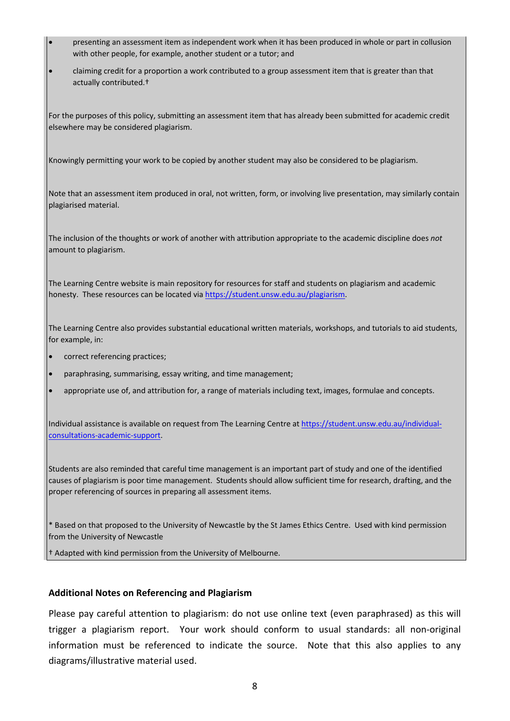- presenting an assessment item as independent work when it has been produced in whole or part in collusion with other people, for example, another student or a tutor; and
- claiming credit for a proportion a work contributed to a group assessment item that is greater than that actually contributed.†

For the purposes of this policy, submitting an assessment item that has already been submitted for academic credit elsewhere may be considered plagiarism.

Knowingly permitting your work to be copied by another student may also be considered to be plagiarism.

Note that an assessment item produced in oral, not written, form, or involving live presentation, may similarly contain plagiarised material.

The inclusion of the thoughts or work of another with attribution appropriate to the academic discipline does *not* amount to plagiarism.

The Learning Centre website is main repository for resources for staff and students on plagiarism and academic honesty. These resources can be located via https://student.unsw.edu.au/plagiarism.

The Learning Centre also provides substantial educational written materials, workshops, and tutorials to aid students, for example, in:

- correct referencing practices;
- paraphrasing, summarising, essay writing, and time management;
- appropriate use of, and attribution for, a range of materials including text, images, formulae and concepts.

Individual assistance is available on request from The Learning Centre at https://student.unsw.edu.au/individualconsultations‐academic‐support.

Students are also reminded that careful time management is an important part of study and one of the identified causes of plagiarism is poor time management. Students should allow sufficient time for research, drafting, and the proper referencing of sources in preparing all assessment items.

\* Based on that proposed to the University of Newcastle by the St James Ethics Centre. Used with kind permission from the University of Newcastle

† Adapted with kind permission from the University of Melbourne.

#### **Additional Notes on Referencing and Plagiarism**

Please pay careful attention to plagiarism: do not use online text (even paraphrased) as this will trigger a plagiarism report. Your work should conform to usual standards: all non‐original information must be referenced to indicate the source. Note that this also applies to any diagrams/illustrative material used.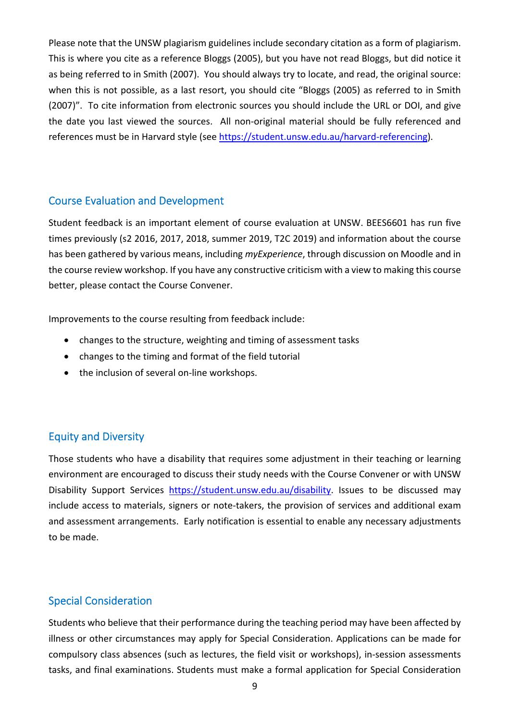Please note that the UNSW plagiarism guidelines include secondary citation as a form of plagiarism. This is where you cite as a reference Bloggs (2005), but you have not read Bloggs, but did notice it as being referred to in Smith (2007). You should always try to locate, and read, the original source: when this is not possible, as a last resort, you should cite "Bloggs (2005) as referred to in Smith (2007)". To cite information from electronic sources you should include the URL or DOI, and give the date you last viewed the sources. All non‐original material should be fully referenced and references must be in Harvard style (see https://student.unsw.edu.au/harvard‐referencing).

### Course Evaluation and Development

Student feedback is an important element of course evaluation at UNSW. BEES6601 has run five times previously (s2 2016, 2017, 2018, summer 2019, T2C 2019) and information about the course has been gathered by various means, including *myExperience*, through discussion on Moodle and in the course review workshop. If you have any constructive criticism with a view to making this course better, please contact the Course Convener.

Improvements to the course resulting from feedback include:

- changes to the structure, weighting and timing of assessment tasks
- changes to the timing and format of the field tutorial
- the inclusion of several on-line workshops.

## Equity and Diversity

Those students who have a disability that requires some adjustment in their teaching or learning environment are encouraged to discuss their study needs with the Course Convener or with UNSW Disability Support Services https://student.unsw.edu.au/disability. Issues to be discussed may include access to materials, signers or note-takers, the provision of services and additional exam and assessment arrangements. Early notification is essential to enable any necessary adjustments to be made.

### Special Consideration

Students who believe that their performance during the teaching period may have been affected by illness or other circumstances may apply for Special Consideration. Applications can be made for compulsory class absences (such as lectures, the field visit or workshops), in‐session assessments tasks, and final examinations. Students must make a formal application for Special Consideration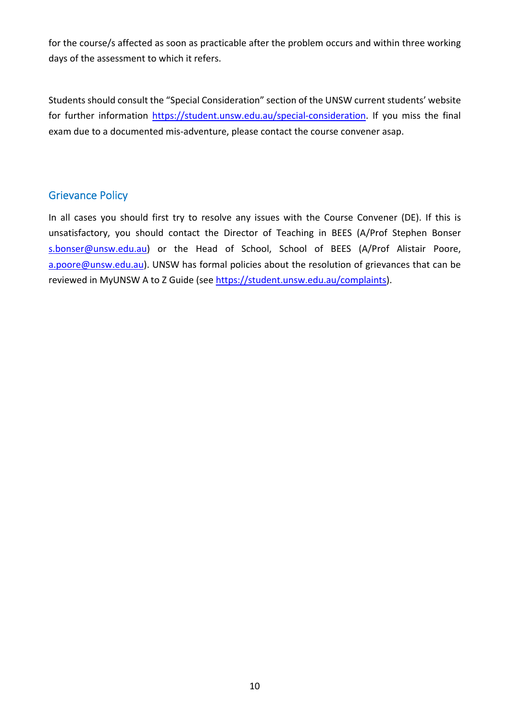for the course/s affected as soon as practicable after the problem occurs and within three working days of the assessment to which it refers.

Students should consult the "Special Consideration" section of the UNSW current students' website for further information https://student.unsw.edu.au/special-consideration. If you miss the final exam due to a documented mis‐adventure, please contact the course convener asap.

### Grievance Policy

In all cases you should first try to resolve any issues with the Course Convener (DE). If this is unsatisfactory, you should contact the Director of Teaching in BEES (A/Prof Stephen Bonser s.bonser@unsw.edu.au) or the Head of School, School of BEES (A/Prof Alistair Poore, a.poore@unsw.edu.au). UNSW has formal policies about the resolution of grievances that can be reviewed in MyUNSW A to Z Guide (see https://student.unsw.edu.au/complaints).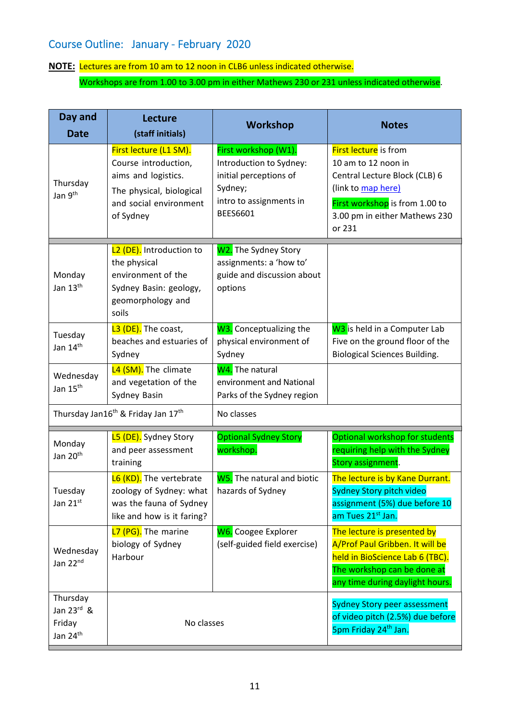## Course Outline: January ‐ February 2020

## **NOTE:** Lectures are from 10 am to 12 noon in CLB6 unless indicated otherwise.

Workshops are from 1.00 to 3.00 pm in either Mathews 230 or 231 unless indicated otherwise.

| Day and                                                                            | Lecture                                                                                                                                  | <b>Workshop</b>                                                                                                                    | <b>Notes</b>                                                                                                                                                                            |
|------------------------------------------------------------------------------------|------------------------------------------------------------------------------------------------------------------------------------------|------------------------------------------------------------------------------------------------------------------------------------|-----------------------------------------------------------------------------------------------------------------------------------------------------------------------------------------|
| <b>Date</b>                                                                        | (staff initials)                                                                                                                         |                                                                                                                                    |                                                                                                                                                                                         |
| Thursday<br>Jan 9 <sup>th</sup>                                                    | First lecture (L1 SM).<br>Course introduction,<br>aims and logistics.<br>The physical, biological<br>and social environment<br>of Sydney | First workshop (W1).<br>Introduction to Sydney:<br>initial perceptions of<br>Sydney;<br>intro to assignments in<br><b>BEES6601</b> | <b>First lecture</b> is from<br>10 am to 12 noon in<br>Central Lecture Block (CLB) 6<br>(link to map here)<br>First workshop is from 1.00 to<br>3.00 pm in either Mathews 230<br>or 231 |
| Monday<br>Jan 13 <sup>th</sup>                                                     | L <sub>2</sub> (DE). Introduction to<br>the physical<br>environment of the<br>Sydney Basin: geology,<br>geomorphology and<br>soils       | W2. The Sydney Story<br>assignments: a 'how to'<br>guide and discussion about<br>options                                           |                                                                                                                                                                                         |
| Tuesday<br>Jan 14 <sup>th</sup>                                                    | L3 (DE). The coast,<br>beaches and estuaries of<br>Sydney                                                                                | W3. Conceptualizing the<br>physical environment of<br>Sydney                                                                       | W <sub>3</sub> is held in a Computer Lab<br>Five on the ground floor of the<br><b>Biological Sciences Building.</b>                                                                     |
| Wednesday<br>Jan 15 <sup>th</sup>                                                  | L4 (SM). The climate<br>and vegetation of the<br>Sydney Basin                                                                            | W <sub>4</sub> . The natural<br>environment and National<br>Parks of the Sydney region                                             |                                                                                                                                                                                         |
| Thursday Jan16 <sup>th</sup> & Friday Jan 17 <sup>th</sup>                         |                                                                                                                                          | No classes                                                                                                                         |                                                                                                                                                                                         |
| Monday<br>Jan 20 <sup>th</sup>                                                     | <b>L5 (DE).</b> Sydney Story<br>and peer assessment<br>training                                                                          | <b>Optional Sydney Story</b><br>workshop.                                                                                          | Optional workshop for students<br>requiring help with the Sydney<br>Story assignment.                                                                                                   |
| Tuesday<br>Jan 21st                                                                | L6 (KD). The vertebrate<br>zoology of Sydney: what  <br>was the fauna of Sydney<br>like and how is it faring?                            | W5. The natural and biotic<br>hazards of Sydney                                                                                    | The lecture is by Kane Durrant.<br>Sydney Story pitch video<br>assignment (5%) due before 10<br>am Tues 21 <sup>st</sup> Jan.                                                           |
| Wednesday<br>Jan 22nd                                                              | L7 (PG). The marine<br>biology of Sydney<br>Harbour                                                                                      | <b>W6.</b> Coogee Explorer<br>(self-guided field exercise)                                                                         | The lecture is presented by<br>A/Prof Paul Gribben. It will be<br>held in BioScience Lab 6 (TBC).<br>The workshop can be done at<br>any time during daylight hours.                     |
| Thursday<br>Jan $23^{\text{rd}}$ &<br>Friday<br>No classes<br>Jan 24 <sup>th</sup> |                                                                                                                                          |                                                                                                                                    | <b>Sydney Story peer assessment</b><br>of video pitch (2.5%) due before<br>5pm Friday 24 <sup>th</sup> Jan.                                                                             |